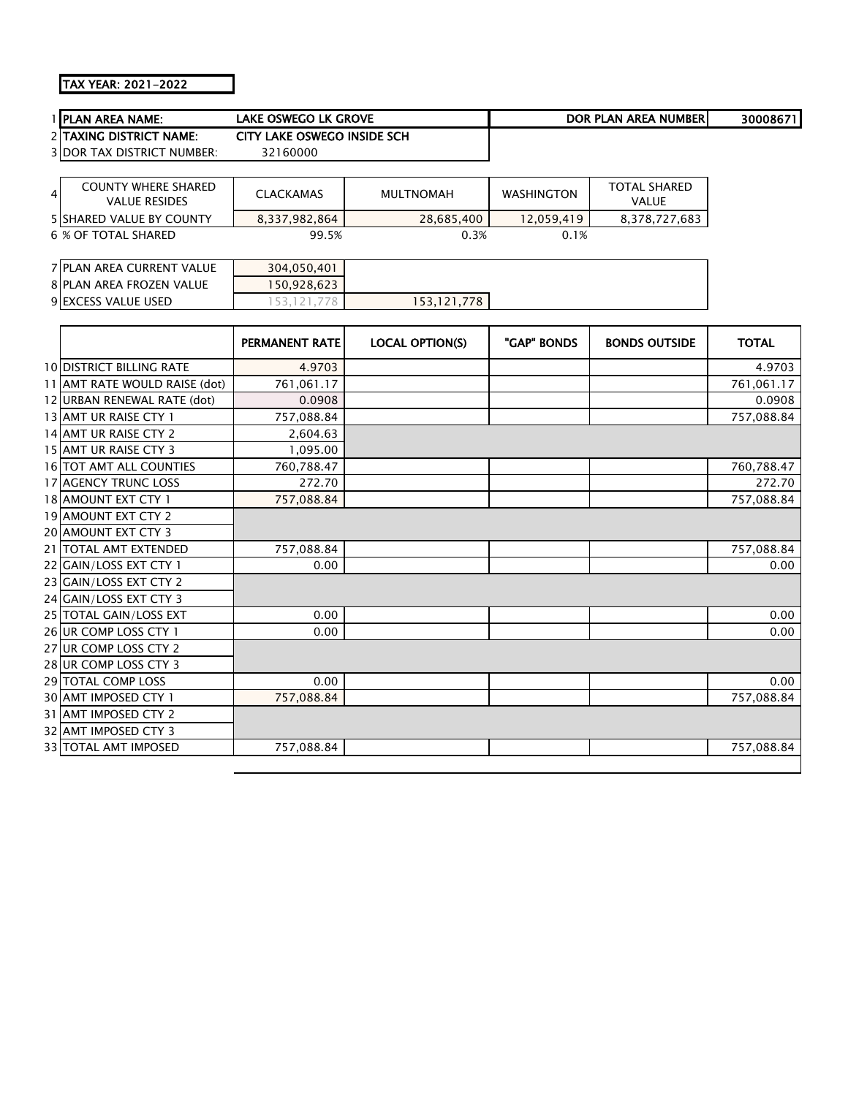## TAX YEAR: 2021-2022

| 1 PLAN AREA NAME:                 | <b>LAKE OSWEGO LK GROVE</b> |                        |                   | <b>DOR PLAN AREA NUMBER</b> | 30008671     |
|-----------------------------------|-----------------------------|------------------------|-------------------|-----------------------------|--------------|
| 2 TAXING DISTRICT NAME:           | CITY LAKE OSWEGO INSIDE SCH |                        |                   |                             |              |
| <b>3 DOR TAX DISTRICT NUMBER:</b> | 32160000                    |                        |                   |                             |              |
|                                   |                             |                        |                   |                             |              |
| <b>COUNTY WHERE SHARED</b><br>4   | <b>CLACKAMAS</b>            | <b>MULTNOMAH</b>       | <b>WASHINGTON</b> | <b>TOTAL SHARED</b>         |              |
| <b>VALUE RESIDES</b>              |                             |                        |                   | <b>VALUE</b>                |              |
| 5 SHARED VALUE BY COUNTY          | 8,337,982,864               | 28,685,400             | 12,059,419        | 8,378,727,683               |              |
| <b>6 % OF TOTAL SHARED</b>        | 99.5%                       | 0.3%                   | 0.1%              |                             |              |
|                                   |                             |                        |                   |                             |              |
| 7 PLAN AREA CURRENT VALUE         | 304,050,401                 |                        |                   |                             |              |
| 8 PLAN AREA FROZEN VALUE          | 150,928,623                 |                        |                   |                             |              |
| 9 EXCESS VALUE USED               | 153, 121, 778               | 153, 121, 778          |                   |                             |              |
|                                   |                             |                        |                   |                             |              |
|                                   | PERMANENT RATE              | <b>LOCAL OPTION(S)</b> | "GAP" BONDS       | <b>BONDS OUTSIDE</b>        | <b>TOTAL</b> |
| <b>10 DISTRICT BILLING RATE</b>   | 4.9703                      |                        |                   |                             | 4.9703       |
| 11 AMT RATE WOULD RAISE (dot)     | 761,061.17                  |                        |                   |                             | 761,061.17   |
| 12 URBAN RENEWAL RATE (dot)       | 0.0908                      |                        |                   |                             | 0.0908       |
| 13 AMT UR RAISE CTY 1             | 757,088.84                  |                        |                   |                             | 757,088.84   |
| 14 AMT UR RAISE CTY 2             | 2,604.63                    |                        |                   |                             |              |
| 15 AMT UR RAISE CTY 3             | 1,095.00                    |                        |                   |                             |              |
| 16 TOT AMT ALL COUNTIES           | 760,788.47                  |                        |                   |                             | 760,788.47   |
| 17 AGENCY TRUNC LOSS              | 272.70                      |                        |                   |                             | 272.70       |
| 18 AMOUNT EXT CTY 1               | 757,088.84                  |                        |                   |                             | 757,088.84   |
| 19 AMOUNT EXT CTY 2               |                             |                        |                   |                             |              |
| 20 AMOUNT EXT CTY 3               |                             |                        |                   |                             |              |
| 21 TOTAL AMT EXTENDED             | 757,088.84                  |                        |                   |                             | 757,088.84   |
| 22 GAIN/LOSS EXT CTY 1            | 0.00                        |                        |                   |                             | 0.00         |
| 23 GAIN/LOSS EXT CTY 2            |                             |                        |                   |                             |              |
| 24 GAIN/LOSS EXT CTY 3            |                             |                        |                   |                             |              |
| 25 TOTAL GAIN/LOSS EXT            | 0.00                        |                        |                   |                             | 0.00         |
| 26 UR COMP LOSS CTY 1             | 0.00                        |                        |                   |                             | 0.00         |
| 27 UR COMP LOSS CTY 2             |                             |                        |                   |                             |              |
| 28 UR COMP LOSS CTY 3             |                             |                        |                   |                             |              |
| 29 TOTAL COMP LOSS                | 0.00                        |                        |                   |                             | 0.00         |
| 30 AMT IMPOSED CTY 1              | 757,088.84                  |                        |                   |                             | 757,088.84   |
| 31 AMT IMPOSED CTY 2              |                             |                        |                   |                             |              |
| 32 AMT IMPOSED CTY 3              |                             |                        |                   |                             |              |
| 33 TOTAL AMT IMPOSED              | 757,088.84                  |                        |                   |                             | 757,088.84   |
|                                   |                             |                        |                   |                             |              |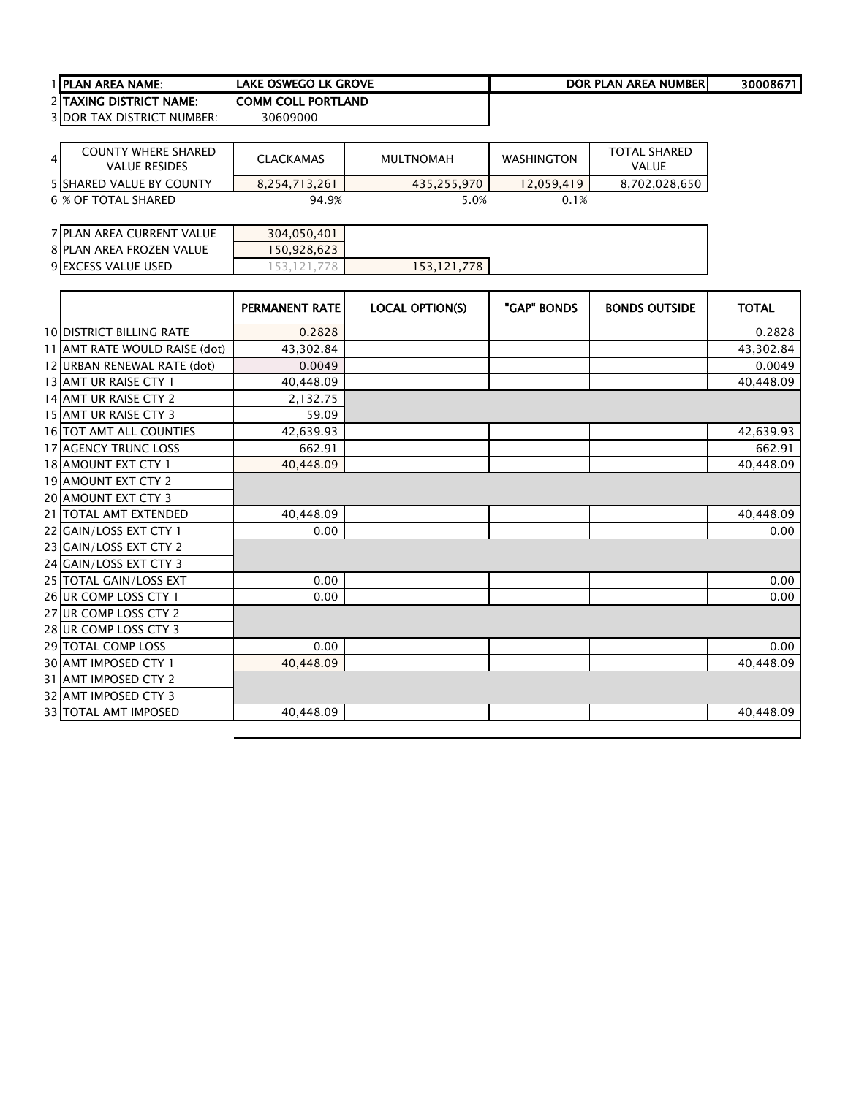| 1 IPLAN AREA NAME:       | LAKE OSWEGO LK GROVE      | <b>DOR PLAN AREA NUMBER</b> | 30008671 |
|--------------------------|---------------------------|-----------------------------|----------|
| 2 ITAXING DISTRICT NAME: | <b>COMM COLL PORTLAND</b> |                             |          |

3 DOR TAX DISTRICT NUMBER: 30609000

| <b>COUNTY WHERE SHARED</b><br>$\overline{4}$<br><b>VALUE RESIDES</b> | <b>CLACKAMAS</b> | MULTNOMAH   | <b>WASHINGTON</b> | <b>TOTAL SHARED</b><br><b>VALUE</b> |
|----------------------------------------------------------------------|------------------|-------------|-------------------|-------------------------------------|
| <b>5 ISHARED VALUE BY COUNTY</b>                                     | 8,254,713,261    | 435,255,970 | 12.059.419        | 8,702,028,650                       |
| 6 % OF TOTAL SHARED                                                  | 94.9%            | 5.0%        | 0.1%              |                                     |

| 7 PLAN AREA CURRENT VALUE | 304.050.401 |             |  |  |  |
|---------------------------|-------------|-------------|--|--|--|
| 8 PLAN AREA FROZEN VALUE  | 50.928.623  |             |  |  |  |
| 9 EXCESS VALUE USED       |             | 153,121,778 |  |  |  |

|                                 | <b>PERMANENT RATE</b> | <b>LOCAL OPTION(S)</b> | "GAP" BONDS | <b>BONDS OUTSIDE</b> | <b>TOTAL</b> |
|---------------------------------|-----------------------|------------------------|-------------|----------------------|--------------|
| <b>10 DISTRICT BILLING RATE</b> | 0.2828                |                        |             |                      | 0.2828       |
| 11 AMT RATE WOULD RAISE (dot)   | 43,302.84             |                        |             |                      | 43,302.84    |
| 12 URBAN RENEWAL RATE (dot)     | 0.0049                |                        |             |                      | 0.0049       |
| 13 AMT UR RAISE CTY 1           | 40,448.09             |                        |             |                      | 40,448.09    |
| 14 AMT UR RAISE CTY 2           | 2,132.75              |                        |             |                      |              |
| 15 AMT UR RAISE CTY 3           | 59.09                 |                        |             |                      |              |
| 16 TOT AMT ALL COUNTIES         | 42,639.93             |                        |             |                      | 42,639.93    |
| <b>17 AGENCY TRUNC LOSS</b>     | 662.91                |                        |             |                      | 662.91       |
| 18 AMOUNT EXT CTY 1             | 40,448.09             |                        |             |                      | 40,448.09    |
| 19 AMOUNT EXT CTY 2             |                       |                        |             |                      |              |
| <b>20 AMOUNT EXT CTY 3</b>      |                       |                        |             |                      |              |
| 21   TOTAL AMT EXTENDED         | 40,448.09             |                        |             |                      | 40,448.09    |
| 22 GAIN/LOSS EXT CTY 1          | 0.00                  |                        |             |                      | 0.00         |
| 23 GAIN/LOSS EXT CTY 2          |                       |                        |             |                      |              |
| 24 GAIN/LOSS EXT CTY 3          |                       |                        |             |                      |              |
| 25 TOTAL GAIN/LOSS EXT          | 0.00                  |                        |             |                      | 0.00         |
| 26 UR COMP LOSS CTY 1           | 0.00                  |                        |             |                      | 0.00         |
| 27 UR COMP LOSS CTY 2           |                       |                        |             |                      |              |
| 28 UR COMP LOSS CTY 3           |                       |                        |             |                      |              |
| 29 TOTAL COMP LOSS              | 0.00                  |                        |             |                      | 0.00         |
| 30 AMT IMPOSED CTY 1            | 40,448.09             |                        |             |                      | 40,448.09    |
| 31 AMT IMPOSED CTY 2            |                       |                        |             |                      |              |
| 32 AMT IMPOSED CTY 3            |                       |                        |             |                      |              |
| 33 TOTAL AMT IMPOSED            | 40,448.09             |                        |             |                      | 40,448.09    |
|                                 |                       |                        |             |                      |              |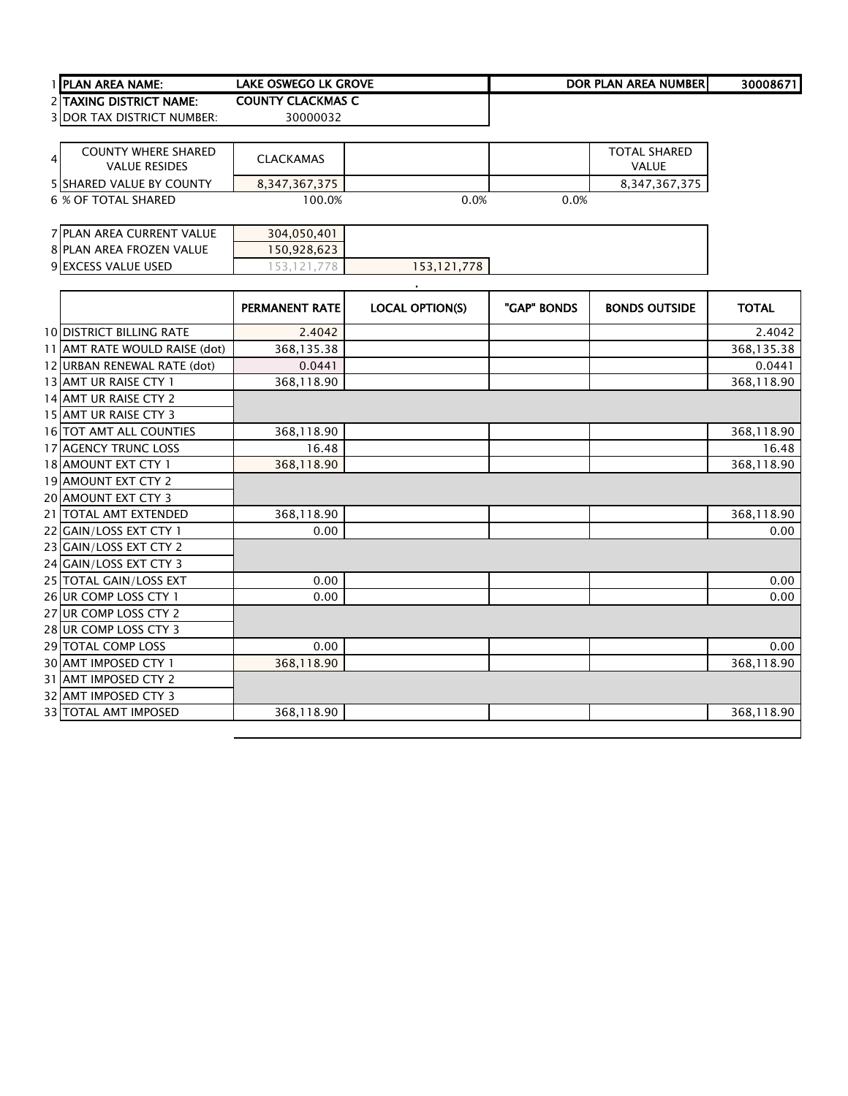| <b>TIPLAN AREA NAME:</b>          | lake oswego lk grove     | DOR PLAN AREA NUMBERI | 30008671 |
|-----------------------------------|--------------------------|-----------------------|----------|
| 2 ITAXING DISTRICT NAME:          | <b>COUNTY CLACKMAS C</b> |                       |          |
| <b>3 DOR TAX DISTRICT NUMBER:</b> | 30000032                 |                       |          |

| 41 | <b>COUNTY WHERE SHARED</b><br><b>VALUE RESIDES</b> | <b>CLACKAMAS</b> |      |      | <b>TOTAL SHARED</b><br>VALUE |
|----|----------------------------------------------------|------------------|------|------|------------------------------|
|    | <b>5 ISHARED VALUE BY COUNTY</b>                   | 8,347,367,375    |      |      | 8,347,367,375                |
|    | 6 % OF TOTAL SHARED                                | 100.0%           | 0.0% | 0.0% |                              |

| 7 PLAN AREA CURRENT VALUE | 304,050,401 |             |  |
|---------------------------|-------------|-------------|--|
| 8 PLAN AREA FROZEN VALUE  | 50,928,623  |             |  |
| 9 EXCESS VALUE USED       |             | 153,121,778 |  |

.

|                                 | <b>PERMANENT RATE</b> | <b>LOCAL OPTION(S)</b> | "GAP" BONDS | <b>BONDS OUTSIDE</b> | <b>TOTAL</b> |
|---------------------------------|-----------------------|------------------------|-------------|----------------------|--------------|
| <b>10 DISTRICT BILLING RATE</b> | 2.4042                |                        |             |                      | 2.4042       |
| 11 AMT RATE WOULD RAISE (dot)   | 368,135.38            |                        |             |                      | 368,135.38   |
| 12 URBAN RENEWAL RATE (dot)     | 0.0441                |                        |             |                      | 0.0441       |
| 13 AMT UR RAISE CTY 1           | 368,118.90            |                        |             |                      | 368,118.90   |
| 14 AMT UR RAISE CTY 2           |                       |                        |             |                      |              |
| 15 AMT UR RAISE CTY 3           |                       |                        |             |                      |              |
| 16 TOT AMT ALL COUNTIES         | 368,118.90            |                        |             |                      | 368,118.90   |
| <b>17 AGENCY TRUNC LOSS</b>     | 16.48                 |                        |             |                      | 16.48        |
| 18 AMOUNT EXT CTY 1             | 368,118.90            |                        |             |                      | 368,118.90   |
| 19 AMOUNT EXT CTY 2             |                       |                        |             |                      |              |
| <b>20 AMOUNT EXT CTY 3</b>      |                       |                        |             |                      |              |
| 21   TOTAL AMT EXTENDED         | 368,118.90            |                        |             |                      | 368,118.90   |
| 22 GAIN/LOSS EXT CTY 1          | 0.00                  |                        |             |                      | 0.00         |
| 23 GAIN/LOSS EXT CTY 2          |                       |                        |             |                      |              |
| 24 GAIN/LOSS EXT CTY 3          |                       |                        |             |                      |              |
| 25 TOTAL GAIN/LOSS EXT          | 0.00                  |                        |             |                      | 0.00         |
| 26 UR COMP LOSS CTY 1           | 0.00                  |                        |             |                      | 0.00         |
| 27 UR COMP LOSS CTY 2           |                       |                        |             |                      |              |
| 28 UR COMP LOSS CTY 3           |                       |                        |             |                      |              |
| 29 TOTAL COMP LOSS              | 0.00                  |                        |             |                      | 0.00         |
| 30 AMT IMPOSED CTY 1            | 368,118.90            |                        |             |                      | 368,118.90   |
| 31 AMT IMPOSED CTY 2            |                       |                        |             |                      |              |
| 32 AMT IMPOSED CTY 3            |                       |                        |             |                      |              |
| <b>33 TOTAL AMT IMPOSED</b>     | 368,118.90            |                        |             |                      | 368,118.90   |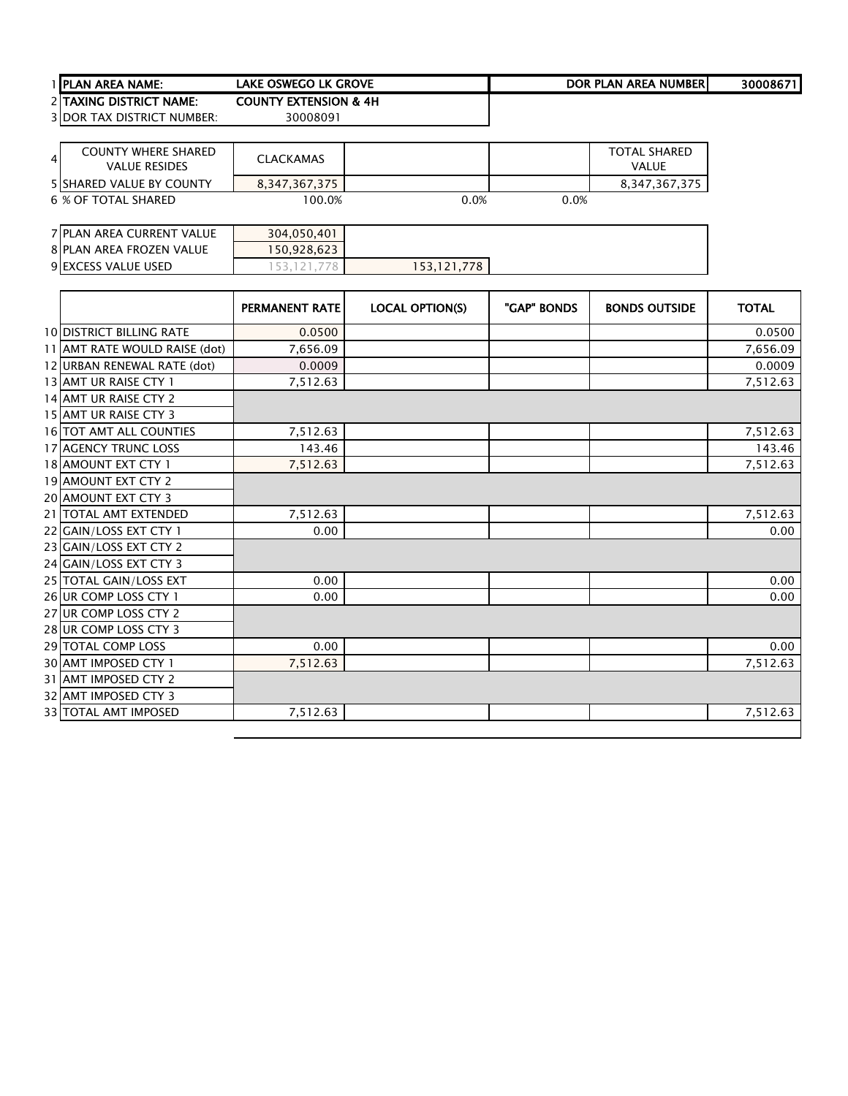| <b>TIPLAN AREA NAME:</b>          | lake oswego lk grove             | DOR PLAN AREA NUMBERI | 30008671 |
|-----------------------------------|----------------------------------|-----------------------|----------|
| 2 ITAXING DISTRICT NAME:          | <b>COUNTY EXTENSION &amp; 4H</b> |                       |          |
| <b>3IDOR TAX DISTRICT NUMBER:</b> | 30008091                         |                       |          |

| $\overline{4}$ | <b>COUNTY WHERE SHARED</b><br><b>VALUE RESIDES</b> | <b>CLACKAMAS</b> |      |      | <b>TOTAL SHARED</b><br>VALUE |
|----------------|----------------------------------------------------|------------------|------|------|------------------------------|
|                | <b>5 ISHARED VALUE BY COUNTY</b>                   | 8.347.367.375    |      |      | 8,347,367,375                |
|                | 6 % OF TOTAL SHARED                                | 100.0%           | 0.0% | 0.0% |                              |

| 7 PLAN AREA CURRENT VALUE | 304,050,401 |             |  |
|---------------------------|-------------|-------------|--|
| 8 PLAN AREA FROZEN VALUE  | 50.928.623  |             |  |
| 9 EXCESS VALUE USED       |             | 153.121.778 |  |

|                                 | <b>PERMANENT RATE</b> | <b>LOCAL OPTION(S)</b> | "GAP" BONDS | <b>BONDS OUTSIDE</b> | <b>TOTAL</b> |
|---------------------------------|-----------------------|------------------------|-------------|----------------------|--------------|
| <b>10 DISTRICT BILLING RATE</b> | 0.0500                |                        |             |                      | 0.0500       |
| 11 AMT RATE WOULD RAISE (dot)   | 7,656.09              |                        |             |                      | 7,656.09     |
| 12 URBAN RENEWAL RATE (dot)     | 0.0009                |                        |             |                      | 0.0009       |
| 13 AMT UR RAISE CTY 1           | 7,512.63              |                        |             |                      | 7,512.63     |
| 14 AMT UR RAISE CTY 2           |                       |                        |             |                      |              |
| 15 AMT UR RAISE CTY 3           |                       |                        |             |                      |              |
| 16 TOT AMT ALL COUNTIES         | 7,512.63              |                        |             |                      | 7,512.63     |
| 17 AGENCY TRUNC LOSS            | 143.46                |                        |             |                      | 143.46       |
| 18 AMOUNT EXT CTY 1             | 7,512.63              |                        |             |                      | 7,512.63     |
| 19 AMOUNT EXT CTY 2             |                       |                        |             |                      |              |
| <b>20 AMOUNT EXT CTY 3</b>      |                       |                        |             |                      |              |
| 21   TOTAL AMT EXTENDED         | 7.512.63              |                        |             |                      | 7,512.63     |
| 22 GAIN/LOSS EXT CTY 1          | 0.00                  |                        |             |                      | 0.00         |
| 23 GAIN/LOSS EXT CTY 2          |                       |                        |             |                      |              |
| 24 GAIN/LOSS EXT CTY 3          |                       |                        |             |                      |              |
| 25 TOTAL GAIN/LOSS EXT          | 0.00                  |                        |             |                      | 0.00         |
| 26 UR COMP LOSS CTY 1           | 0.00                  |                        |             |                      | 0.00         |
| 27 UR COMP LOSS CTY 2           |                       |                        |             |                      |              |
| 28 UR COMP LOSS CTY 3           |                       |                        |             |                      |              |
| <b>29 TOTAL COMP LOSS</b>       | 0.00                  |                        |             |                      | 0.00         |
| 30 AMT IMPOSED CTY 1            | 7,512.63              |                        |             |                      | 7,512.63     |
| 31 AMT IMPOSED CTY 2            |                       |                        |             |                      |              |
| 32 AMT IMPOSED CTY 3            |                       |                        |             |                      |              |
| <b>33 TOTAL AMT IMPOSED</b>     | 7,512.63              |                        |             |                      | 7,512.63     |
|                                 |                       |                        |             |                      |              |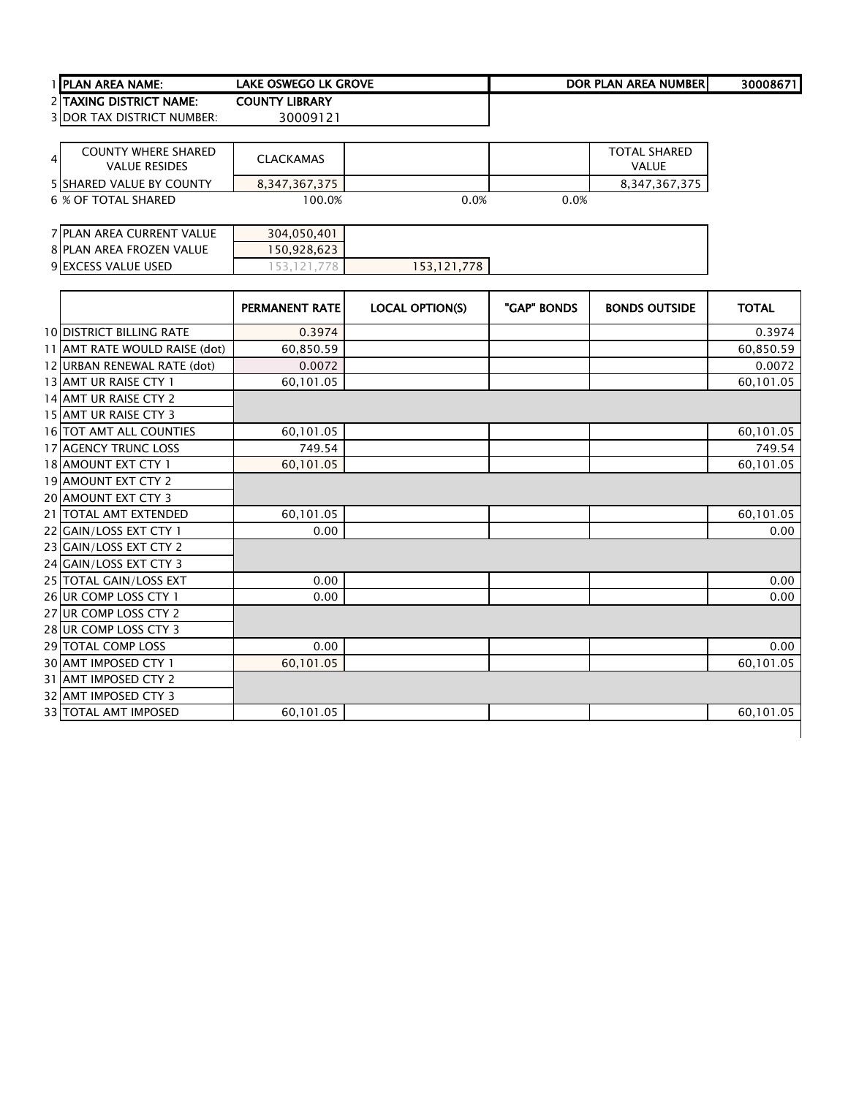| <b>TIPLAN AREA NAME:</b>          | lake oswego lk grove | DOR PLAN AREA NUMBERI | 30008671 |
|-----------------------------------|----------------------|-----------------------|----------|
| <b>2ITAXING DISTRICT NAME:</b>    | COUNTY LIBRARY       |                       |          |
| <b>3IDOR TAX DISTRICT NUMBER:</b> | 30009121             |                       |          |

| $\overline{4}$ | <b>COUNTY WHERE SHARED</b><br><b>VALUE RESIDES</b> | <b>CLACKAMAS</b> |      |      | TOTAL SHARED<br><b>VALUE</b> |
|----------------|----------------------------------------------------|------------------|------|------|------------------------------|
|                | <b>5 ISHARED VALUE BY COUNTY</b>                   | 8.347.367.375    |      |      | 8.347.367.375                |
|                | 6 % OF TOTAL SHARED                                | 100.0%           | 0.0% | 0.0% |                              |

| 7 PLAN AREA CURRENT VALUE | 304,050,401 |             |  |  |
|---------------------------|-------------|-------------|--|--|
| 8 PLAN AREA FROZEN VALUE  | 150,928,623 |             |  |  |
| 9 EXCESS VALUE USED       |             | 153.121.778 |  |  |

|                                 | <b>PERMANENT RATE</b> | <b>LOCAL OPTION(S)</b> | "GAP" BONDS | <b>BONDS OUTSIDE</b> | <b>TOTAL</b> |
|---------------------------------|-----------------------|------------------------|-------------|----------------------|--------------|
| <b>10 DISTRICT BILLING RATE</b> | 0.3974                |                        |             |                      | 0.3974       |
| 11 AMT RATE WOULD RAISE (dot)   | 60,850.59             |                        |             |                      | 60,850.59    |
| 12 URBAN RENEWAL RATE (dot)     | 0.0072                |                        |             |                      | 0.0072       |
| 13 AMT UR RAISE CTY 1           | 60,101.05             |                        |             |                      | 60,101.05    |
| 14 AMT UR RAISE CTY 2           |                       |                        |             |                      |              |
| 15 AMT UR RAISE CTY 3           |                       |                        |             |                      |              |
| 16 TOT AMT ALL COUNTIES         | 60,101.05             |                        |             |                      | 60,101.05    |
| 17 AGENCY TRUNC LOSS            | 749.54                |                        |             |                      | 749.54       |
| 18 AMOUNT EXT CTY 1             | 60,101.05             |                        |             |                      | 60,101.05    |
| 19 AMOUNT EXT CTY 2             |                       |                        |             |                      |              |
| <b>20 AMOUNT EXT CTY 3</b>      |                       |                        |             |                      |              |
| 21   TOTAL AMT EXTENDED         | 60,101.05             |                        |             |                      | 60,101.05    |
| 22 GAIN/LOSS EXT CTY 1          | 0.00                  |                        |             |                      | 0.00         |
| 23 GAIN/LOSS EXT CTY 2          |                       |                        |             |                      |              |
| 24 GAIN/LOSS EXT CTY 3          |                       |                        |             |                      |              |
| 25 TOTAL GAIN/LOSS EXT          | 0.00                  |                        |             |                      | 0.00         |
| 26 UR COMP LOSS CTY 1           | 0.00                  |                        |             |                      | 0.00         |
| 27 UR COMP LOSS CTY 2           |                       |                        |             |                      |              |
| 28 UR COMP LOSS CTY 3           |                       |                        |             |                      |              |
| <b>29 TOTAL COMP LOSS</b>       | 0.00                  |                        |             |                      | 0.00         |
| 30 AMT IMPOSED CTY 1            | 60,101.05             |                        |             |                      | 60,101.05    |
| 31 AMT IMPOSED CTY 2            |                       |                        |             |                      |              |
| 32 AMT IMPOSED CTY 3            |                       |                        |             |                      |              |
| <b>33 TOTAL AMT IMPOSED</b>     | 60,101.05             |                        |             |                      | 60,101.05    |
|                                 |                       |                        |             |                      |              |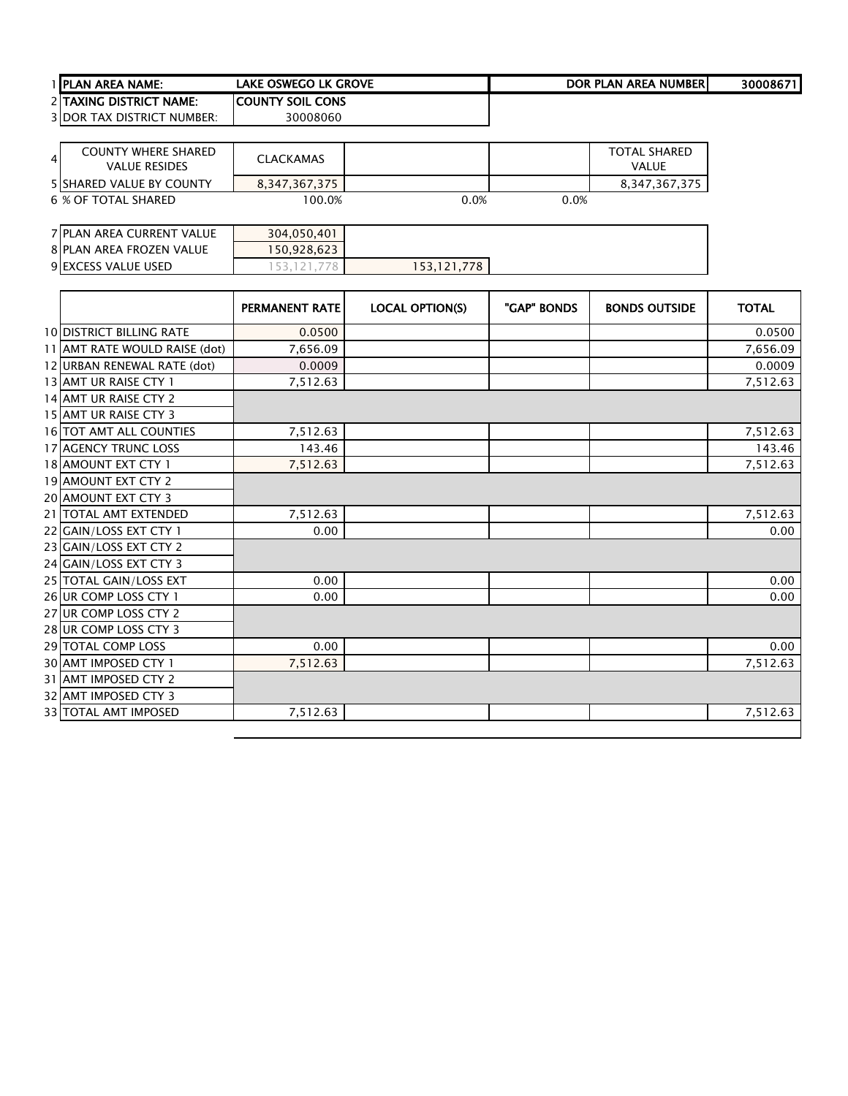| 1 IPLAN AREA NAME:                | LAKE OSWEGO LK GROVE     | DOR PLAN AREA NUMBERI | 30008671 |
|-----------------------------------|--------------------------|-----------------------|----------|
| <b>2 TAXING DISTRICT NAME:</b>    | <b>ICOUNTY SOIL CONS</b> |                       |          |
| <b>3IDOR TAX DISTRICT NUMBER:</b> | 30008060                 |                       |          |

| 4 | <b>COUNTY WHERE SHARED</b><br><b>VALUE RESIDES</b> | <b>CLACKAMAS</b> |      |      | TOTAL SHARED<br>VALUE |
|---|----------------------------------------------------|------------------|------|------|-----------------------|
|   | <b>5 ISHARED VALUE BY COUNTY</b>                   | 8,347,367,375    |      |      | 8.347.367.375         |
|   | 6 % OF TOTAL SHARED                                | 100.0%           | 0.0% | 0.0% |                       |

| 7 PLAN AREA CURRENT VALUE | 304.050.401 |             |  |
|---------------------------|-------------|-------------|--|
| 8 PLAN AREA FROZEN VALUE  | 50,928,623  |             |  |
| 9 EXCESS VALUE USED       |             | 153,121,778 |  |

|                                 | <b>PERMANENT RATE</b> | <b>LOCAL OPTION(S)</b> | "GAP" BONDS | <b>BONDS OUTSIDE</b> | <b>TOTAL</b> |
|---------------------------------|-----------------------|------------------------|-------------|----------------------|--------------|
| <b>10 DISTRICT BILLING RATE</b> | 0.0500                |                        |             |                      | 0.0500       |
| 11 AMT RATE WOULD RAISE (dot)   | 7,656.09              |                        |             |                      | 7,656.09     |
| 12 URBAN RENEWAL RATE (dot)     | 0.0009                |                        |             |                      | 0.0009       |
| 13 AMT UR RAISE CTY 1           | 7,512.63              |                        |             |                      | 7,512.63     |
| 14 AMT UR RAISE CTY 2           |                       |                        |             |                      |              |
| 15 AMT UR RAISE CTY 3           |                       |                        |             |                      |              |
| 16 TOT AMT ALL COUNTIES         | 7,512.63              |                        |             |                      | 7,512.63     |
| <b>17 AGENCY TRUNC LOSS</b>     | 143.46                |                        |             |                      | 143.46       |
| 18 AMOUNT EXT CTY 1             | 7,512.63              |                        |             |                      | 7,512.63     |
| 19 AMOUNT EXT CTY 2             |                       |                        |             |                      |              |
| <b>20 AMOUNT EXT CTY 3</b>      |                       |                        |             |                      |              |
| 21   TOTAL AMT EXTENDED         | 7,512.63              |                        |             |                      | 7,512.63     |
| 22 GAIN/LOSS EXT CTY 1          | 0.00                  |                        |             |                      | 0.00         |
| 23 GAIN/LOSS EXT CTY 2          |                       |                        |             |                      |              |
| 24 GAIN/LOSS EXT CTY 3          |                       |                        |             |                      |              |
| 25 TOTAL GAIN/LOSS EXT          | 0.00                  |                        |             |                      | 0.00         |
| 26 UR COMP LOSS CTY 1           | 0.00                  |                        |             |                      | 0.00         |
| 27 UR COMP LOSS CTY 2           |                       |                        |             |                      |              |
| 28 UR COMP LOSS CTY 3           |                       |                        |             |                      |              |
| 29 TOTAL COMP LOSS              | 0.00                  |                        |             |                      | 0.00         |
| 30 AMT IMPOSED CTY 1            | 7,512.63              |                        |             |                      | 7,512.63     |
| 31 AMT IMPOSED CTY 2            |                       |                        |             |                      |              |
| 32 AMT IMPOSED CTY 3            |                       |                        |             |                      |              |
| 33 TOTAL AMT IMPOSED            | 7.512.63              |                        |             |                      | 7,512.63     |
|                                 |                       |                        |             |                      |              |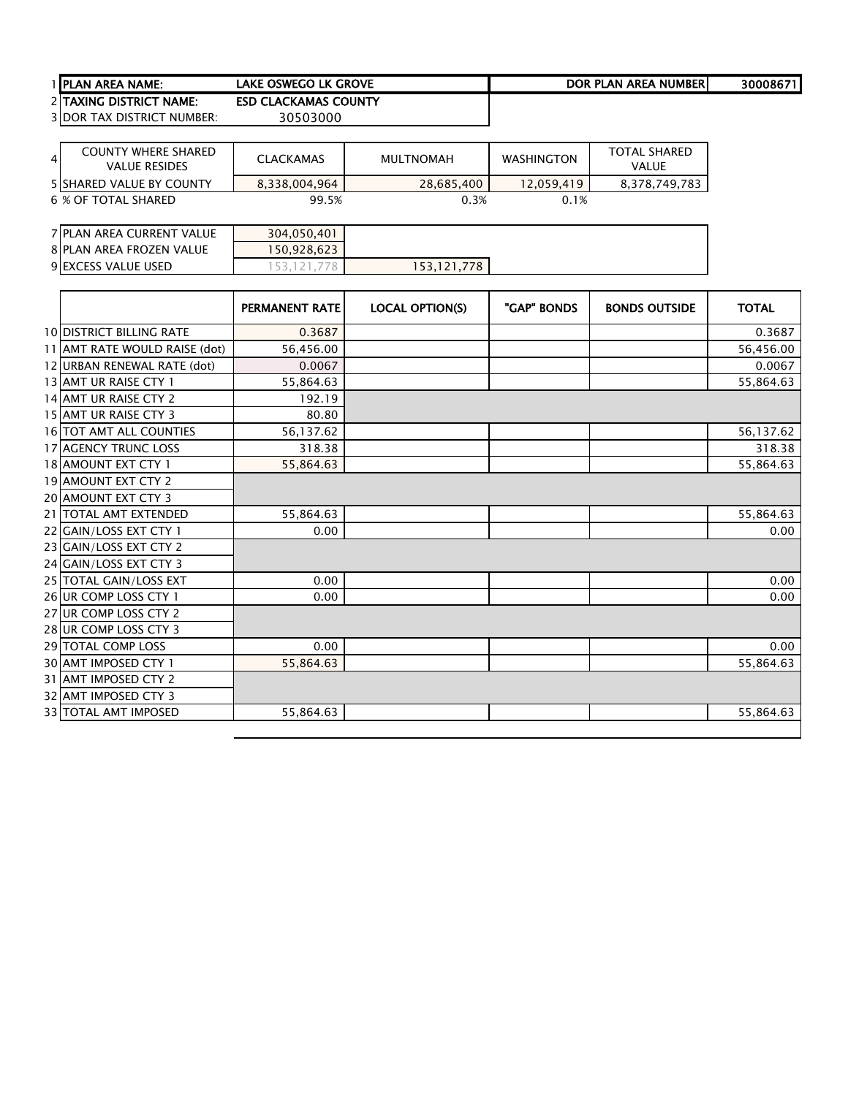| <b>I IPLAN AREA NAME:</b>         | LAKE OSWEGO LK GROVE        | DOR PLAN AREA NUMBER | 30008671 |
|-----------------------------------|-----------------------------|----------------------|----------|
| 2 TAXING DISTRICT NAME:           | <b>ESD CLACKAMAS COUNTY</b> |                      |          |
| <b>3IDOR TAX DISTRICT NUMBER:</b> | 30503000                    |                      |          |

| $\overline{4}$ | COUNTY WHERE SHARED<br><b>VALUE RESIDES</b> | CLACKAMAS     | MULTNOMAH  | <b>WASHINGTON</b> | <b>TOTAL SHARED</b><br><b>VALUE</b> |
|----------------|---------------------------------------------|---------------|------------|-------------------|-------------------------------------|
|                | <b>5 ISHARED VALUE BY COUNTY</b>            | 8.338.004.964 | 28.685.400 | 12.059.419        | 8.378.749.783                       |
|                | 6 % OF TOTAL SHARED                         | 99.5%         | 0.3%       | 0.1%              |                                     |

| 7 PLAN AREA CURRENT VALUE | 304,050,401 |             |  |
|---------------------------|-------------|-------------|--|
| 8 PLAN AREA FROZEN VALUE  | 50,928,623  |             |  |
| 9 EXCESS VALUE USED       |             | 153,121,778 |  |

| <b>10 DISTRICT BILLING RATE</b><br>0.3687<br>11 AMT RATE WOULD RAISE (dot)<br>56,456.00<br>12 URBAN RENEWAL RATE (dot)<br>0.0067<br>13 AMT UR RAISE CTY 1<br>55,864.63<br>14 AMT UR RAISE CTY 2<br>192.19<br>15 AMT UR RAISE CTY 3<br>80.80<br>16 TOT AMT ALL COUNTIES<br>56,137.62<br><b>17 AGENCY TRUNC LOSS</b><br>318.38<br>18 AMOUNT EXT CTY 1<br>55,864.63<br>19 AMOUNT EXT CTY 2<br><b>20 AMOUNT EXT CTY 3</b><br>21 TOTAL AMT EXTENDED<br>55,864.63<br>22 GAIN/LOSS EXT CTY 1<br>0.00<br>23 GAIN/LOSS EXT CTY 2<br>24 GAIN/LOSS EXT CTY 3<br>25 TOTAL GAIN/LOSS EXT<br>0.00<br>26 UR COMP LOSS CTY 1<br>0.00<br>27 UR COMP LOSS CTY 2<br>28 UR COMP LOSS CTY 3<br>29 TOTAL COMP LOSS<br>0.00<br>30 AMT IMPOSED CTY 1<br>55,864.63 |  | <b>PERMANENT RATE</b> | <b>LOCAL OPTION(S)</b> | "GAP" BONDS | <b>BONDS OUTSIDE</b> | <b>TOTAL</b> |
|-------------------------------------------------------------------------------------------------------------------------------------------------------------------------------------------------------------------------------------------------------------------------------------------------------------------------------------------------------------------------------------------------------------------------------------------------------------------------------------------------------------------------------------------------------------------------------------------------------------------------------------------------------------------------------------------------------------------------------------------|--|-----------------------|------------------------|-------------|----------------------|--------------|
|                                                                                                                                                                                                                                                                                                                                                                                                                                                                                                                                                                                                                                                                                                                                           |  |                       |                        |             |                      | 0.3687       |
|                                                                                                                                                                                                                                                                                                                                                                                                                                                                                                                                                                                                                                                                                                                                           |  |                       |                        |             |                      | 56,456.00    |
|                                                                                                                                                                                                                                                                                                                                                                                                                                                                                                                                                                                                                                                                                                                                           |  |                       |                        |             |                      | 0.0067       |
|                                                                                                                                                                                                                                                                                                                                                                                                                                                                                                                                                                                                                                                                                                                                           |  |                       |                        |             |                      | 55,864.63    |
|                                                                                                                                                                                                                                                                                                                                                                                                                                                                                                                                                                                                                                                                                                                                           |  |                       |                        |             |                      |              |
|                                                                                                                                                                                                                                                                                                                                                                                                                                                                                                                                                                                                                                                                                                                                           |  |                       |                        |             |                      |              |
|                                                                                                                                                                                                                                                                                                                                                                                                                                                                                                                                                                                                                                                                                                                                           |  |                       |                        |             |                      | 56,137.62    |
|                                                                                                                                                                                                                                                                                                                                                                                                                                                                                                                                                                                                                                                                                                                                           |  |                       |                        |             |                      | 318.38       |
|                                                                                                                                                                                                                                                                                                                                                                                                                                                                                                                                                                                                                                                                                                                                           |  |                       |                        |             |                      | 55,864.63    |
|                                                                                                                                                                                                                                                                                                                                                                                                                                                                                                                                                                                                                                                                                                                                           |  |                       |                        |             |                      |              |
|                                                                                                                                                                                                                                                                                                                                                                                                                                                                                                                                                                                                                                                                                                                                           |  |                       |                        |             |                      |              |
|                                                                                                                                                                                                                                                                                                                                                                                                                                                                                                                                                                                                                                                                                                                                           |  |                       |                        |             |                      | 55,864.63    |
|                                                                                                                                                                                                                                                                                                                                                                                                                                                                                                                                                                                                                                                                                                                                           |  |                       |                        |             |                      | 0.00         |
|                                                                                                                                                                                                                                                                                                                                                                                                                                                                                                                                                                                                                                                                                                                                           |  |                       |                        |             |                      |              |
|                                                                                                                                                                                                                                                                                                                                                                                                                                                                                                                                                                                                                                                                                                                                           |  |                       |                        |             |                      |              |
|                                                                                                                                                                                                                                                                                                                                                                                                                                                                                                                                                                                                                                                                                                                                           |  |                       |                        |             |                      | 0.00         |
|                                                                                                                                                                                                                                                                                                                                                                                                                                                                                                                                                                                                                                                                                                                                           |  |                       |                        |             |                      | 0.00         |
|                                                                                                                                                                                                                                                                                                                                                                                                                                                                                                                                                                                                                                                                                                                                           |  |                       |                        |             |                      |              |
|                                                                                                                                                                                                                                                                                                                                                                                                                                                                                                                                                                                                                                                                                                                                           |  |                       |                        |             |                      |              |
|                                                                                                                                                                                                                                                                                                                                                                                                                                                                                                                                                                                                                                                                                                                                           |  |                       |                        |             |                      | 0.00         |
|                                                                                                                                                                                                                                                                                                                                                                                                                                                                                                                                                                                                                                                                                                                                           |  |                       |                        |             |                      | 55,864.63    |
| 31 AMT IMPOSED CTY 2                                                                                                                                                                                                                                                                                                                                                                                                                                                                                                                                                                                                                                                                                                                      |  |                       |                        |             |                      |              |
| 32 AMT IMPOSED CTY 3                                                                                                                                                                                                                                                                                                                                                                                                                                                                                                                                                                                                                                                                                                                      |  |                       |                        |             |                      |              |
| 55,864.63<br><b>33 TOTAL AMT IMPOSED</b>                                                                                                                                                                                                                                                                                                                                                                                                                                                                                                                                                                                                                                                                                                  |  |                       |                        |             |                      | 55,864.63    |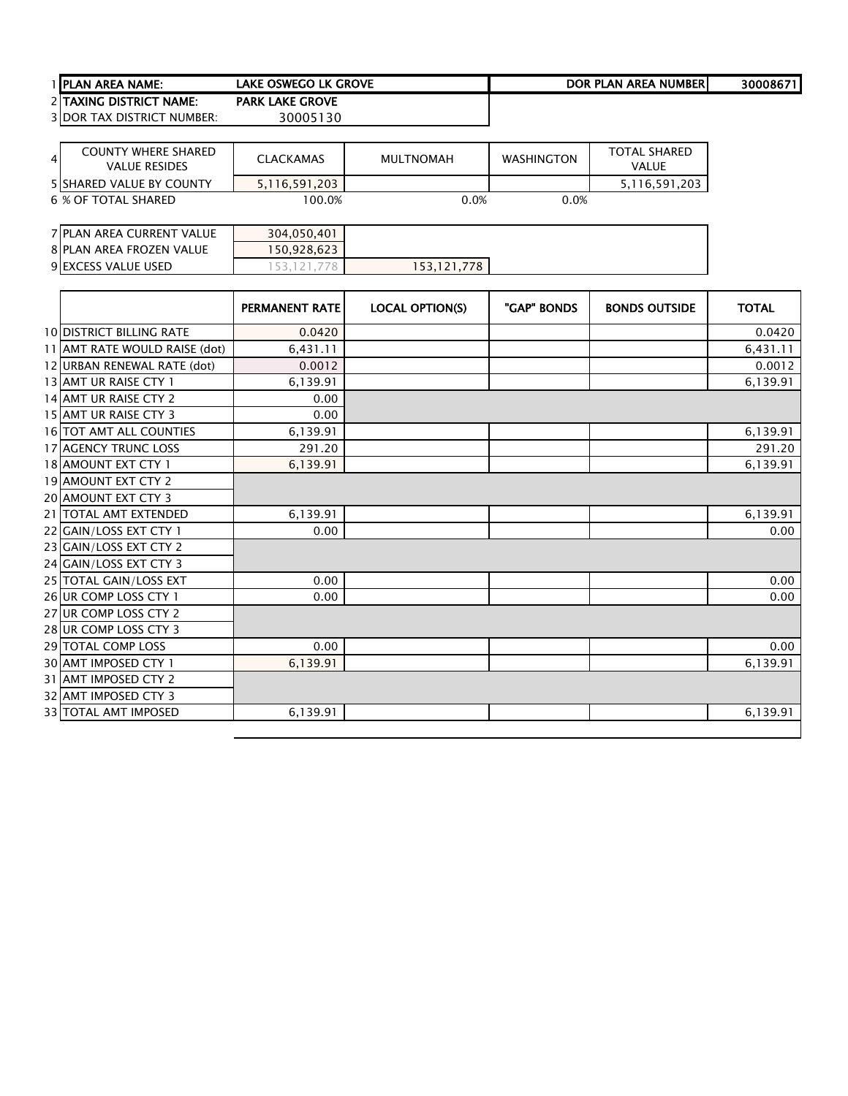| <b>TIPLAN AREA NAME:</b>          | lake oswego lk grove   | DOR PLAN AREA NUMBERI | 300086711 |
|-----------------------------------|------------------------|-----------------------|-----------|
| 2 ITAXING DISTRICT NAME:          | <b>PARK LAKE GROVE</b> |                       |           |
| <b>3IDOR TAX DISTRICT NUMBER:</b> | 30005130               |                       |           |

| $\overline{4}$ | <b>COUNTY WHERE SHARED</b><br><b>VALUE RESIDES</b> | <b>CLACKAMAS</b> | <b>MULTNOMAH</b> | <b>WASHINGTON</b> | <b>TOTAL SHARED</b><br><b>VALUE</b> |
|----------------|----------------------------------------------------|------------------|------------------|-------------------|-------------------------------------|
|                | <b>5 ISHARED VALUE BY COUNTY</b>                   | 5.116.591.203    |                  |                   | 5.116.591.203                       |
|                | 6 % OF TOTAL SHARED                                | 100.0%           | 0.0%             | 0.0%              |                                     |

| 7 PLAN AREA CURRENT VALUE | 304,050,401 |             |  |  |
|---------------------------|-------------|-------------|--|--|
| 8 PLAN AREA FROZEN VALUE  | 150,928,623 |             |  |  |
| 9 EXCESS VALUE USED       |             | 153,121,778 |  |  |

|                                 | <b>PERMANENT RATE</b> | <b>LOCAL OPTION(S)</b> | "GAP" BONDS | <b>BONDS OUTSIDE</b> | <b>TOTAL</b> |
|---------------------------------|-----------------------|------------------------|-------------|----------------------|--------------|
| <b>10 DISTRICT BILLING RATE</b> | 0.0420                |                        |             |                      | 0.0420       |
| 11 AMT RATE WOULD RAISE (dot)   | 6,431.11              |                        |             |                      | 6,431.11     |
| 12 URBAN RENEWAL RATE (dot)     | 0.0012                |                        |             |                      | 0.0012       |
| 13 AMT UR RAISE CTY 1           | 6,139.91              |                        |             |                      | 6,139.91     |
| 14 AMT UR RAISE CTY 2           | 0.00                  |                        |             |                      |              |
| 15 AMT UR RAISE CTY 3           | 0.00                  |                        |             |                      |              |
| 16 TOT AMT ALL COUNTIES         | 6,139.91              |                        |             |                      | 6,139.91     |
| <b>17 AGENCY TRUNC LOSS</b>     | 291.20                |                        |             |                      | 291.20       |
| 18 AMOUNT EXT CTY 1             | 6,139.91              |                        |             |                      | 6,139.91     |
| 19 AMOUNT EXT CTY 2             |                       |                        |             |                      |              |
| <b>20 AMOUNT EXT CTY 3</b>      |                       |                        |             |                      |              |
| 21   TOTAL AMT EXTENDED         | 6,139.91              |                        |             |                      | 6,139.91     |
| 22 GAIN/LOSS EXT CTY 1          | 0.00                  |                        |             |                      | 0.00         |
| 23 GAIN/LOSS EXT CTY 2          |                       |                        |             |                      |              |
| 24 GAIN/LOSS EXT CTY 3          |                       |                        |             |                      |              |
| 25 TOTAL GAIN/LOSS EXT          | 0.00                  |                        |             |                      | 0.00         |
| 26 UR COMP LOSS CTY 1           | 0.00                  |                        |             |                      | 0.00         |
| 27 UR COMP LOSS CTY 2           |                       |                        |             |                      |              |
| 28 UR COMP LOSS CTY 3           |                       |                        |             |                      |              |
| 29 TOTAL COMP LOSS              | 0.00                  |                        |             |                      | 0.00         |
| 30 AMT IMPOSED CTY 1            | 6,139.91              |                        |             |                      | 6,139.91     |
| 31 AMT IMPOSED CTY 2            |                       |                        |             |                      |              |
| 32 AMT IMPOSED CTY 3            |                       |                        |             |                      |              |
| 33 TOTAL AMT IMPOSED            | 6.139.91              |                        |             |                      | 6,139.91     |
|                                 |                       |                        |             |                      |              |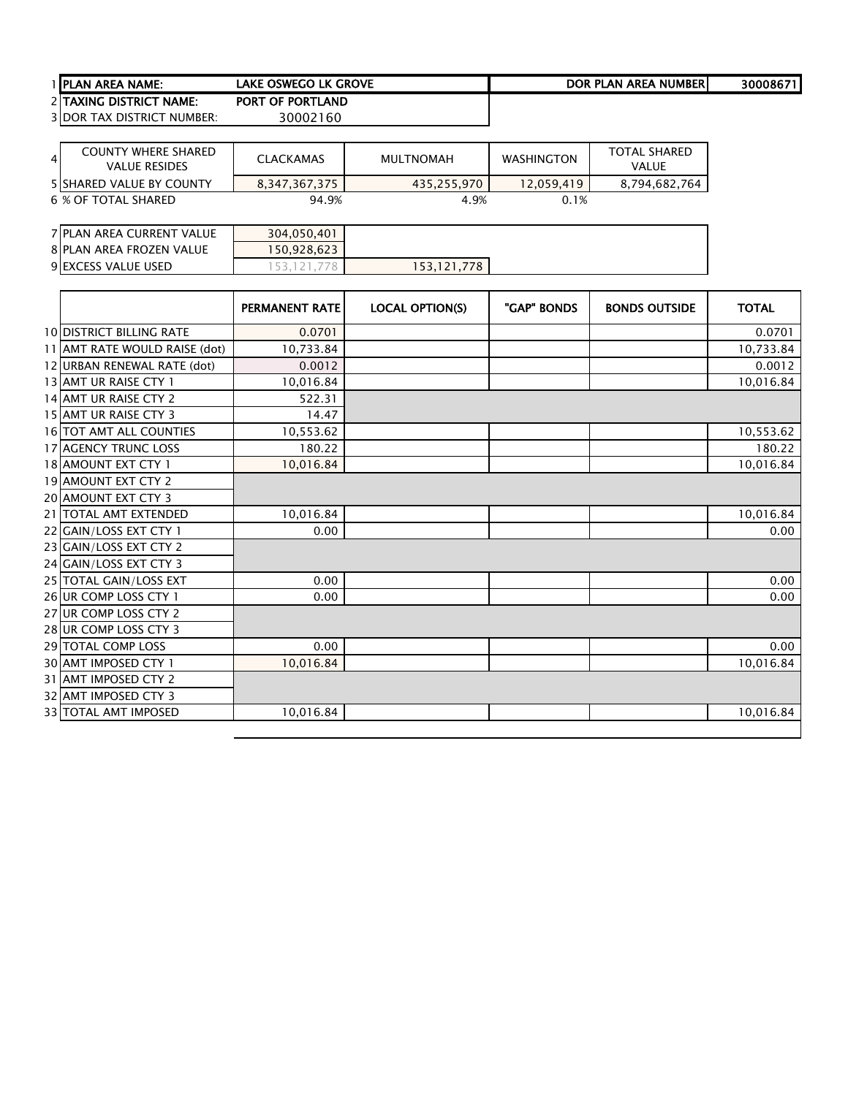| <b>TIPLAN AREA NAME:</b>          | lake oswego lk grove    | DOR PLAN AREA NUMBERI | 300086711 |
|-----------------------------------|-------------------------|-----------------------|-----------|
| 2 ITAXING DISTRICT NAME:          | <b>PORT OF PORTLAND</b> |                       |           |
| <b>3IDOR TAX DISTRICT NUMBER:</b> | 30002160                |                       |           |

| <b>COUNTY WHERE SHARED</b><br>$\overline{4}$<br><b>VALUE RESIDES</b> | <b>CLACKAMAS</b> | MULTNOMAH   | <b>WASHINGTON</b> | <b>TOTAL SHARED</b><br><b>VALUE</b> |
|----------------------------------------------------------------------|------------------|-------------|-------------------|-------------------------------------|
| <b>5 ISHARED VALUE BY COUNTY</b>                                     | 8,347,367,375    | 435,255,970 | 12.059.419        | 8,794,682,764                       |
| 6 % OF TOTAL SHARED                                                  | 94.9%            | 4.9%        | 0.1%              |                                     |

| 7 PLAN AREA CURRENT VALUE | 304,050,401 |             |  |
|---------------------------|-------------|-------------|--|
| 8 PLAN AREA FROZEN VALUE  | 150.928.623 |             |  |
| 9 EXCESS VALUE USED       |             | 153.121.778 |  |

|                                 | <b>PERMANENT RATE</b> | <b>LOCAL OPTION(S)</b> | "GAP" BONDS | <b>BONDS OUTSIDE</b> | <b>TOTAL</b> |
|---------------------------------|-----------------------|------------------------|-------------|----------------------|--------------|
| <b>10 DISTRICT BILLING RATE</b> | 0.0701                |                        |             |                      | 0.0701       |
| 11 AMT RATE WOULD RAISE (dot)   | 10,733.84             |                        |             |                      | 10,733.84    |
| 12 URBAN RENEWAL RATE (dot)     | 0.0012                |                        |             |                      | 0.0012       |
| 13 AMT UR RAISE CTY 1           | 10,016.84             |                        |             |                      | 10,016.84    |
| 14 AMT UR RAISE CTY 2           | 522.31                |                        |             |                      |              |
| 15 AMT UR RAISE CTY 3           | 14.47                 |                        |             |                      |              |
| <b>16 TOT AMT ALL COUNTIES</b>  | 10,553.62             |                        |             |                      | 10,553.62    |
| 17 AGENCY TRUNC LOSS            | 180.22                |                        |             |                      | 180.22       |
| 18 AMOUNT EXT CTY 1             | 10,016.84             |                        |             |                      | 10,016.84    |
| 19 AMOUNT EXT CTY 2             |                       |                        |             |                      |              |
| <b>20 AMOUNT EXT CTY 3</b>      |                       |                        |             |                      |              |
| 21   TOTAL AMT EXTENDED         | 10,016.84             |                        |             |                      | 10,016.84    |
| 22 GAIN/LOSS EXT CTY 1          | 0.00                  |                        |             |                      | 0.00         |
| 23 GAIN/LOSS EXT CTY 2          |                       |                        |             |                      |              |
| 24 GAIN/LOSS EXT CTY 3          |                       |                        |             |                      |              |
| 25 TOTAL GAIN/LOSS EXT          | 0.00                  |                        |             |                      | 0.00         |
| 26 UR COMP LOSS CTY 1           | 0.00                  |                        |             |                      | 0.00         |
| 27 UR COMP LOSS CTY 2           |                       |                        |             |                      |              |
| 28 UR COMP LOSS CTY 3           |                       |                        |             |                      |              |
| 29 TOTAL COMP LOSS              | 0.00                  |                        |             |                      | 0.00         |
| 30 AMT IMPOSED CTY 1            | 10,016.84             |                        |             |                      | 10,016.84    |
| 31 AMT IMPOSED CTY 2            |                       |                        |             |                      |              |
| 32 AMT IMPOSED CTY 3            |                       |                        |             |                      |              |
| 33 TOTAL AMT IMPOSED            | 10,016.84             |                        |             |                      | 10,016.84    |
|                                 |                       |                        |             |                      |              |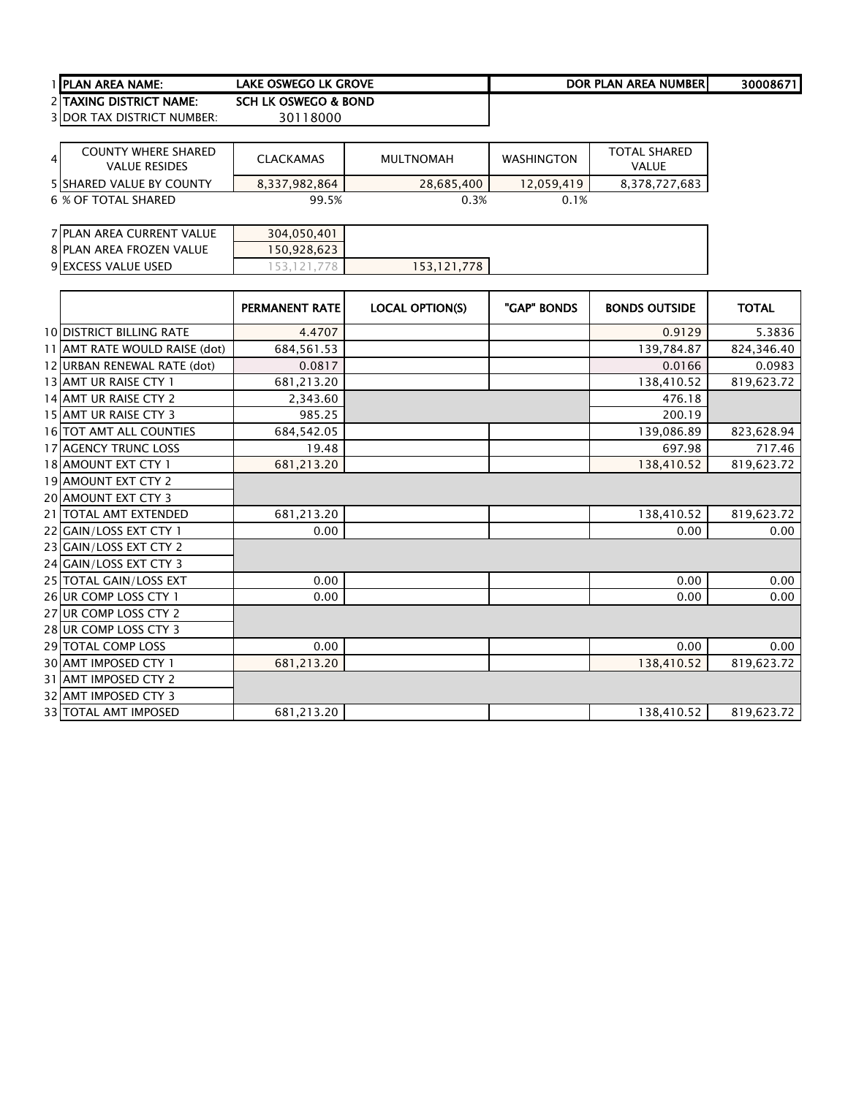| <b>TIPLAN AREA NAME:</b>          | lake oswego lk grove | DOR PLAN AREA NUMBERI | 300086711 |
|-----------------------------------|----------------------|-----------------------|-----------|
| 2 ITAXING DISTRICT NAME:          | SCH LK OSWEGO & BOND |                       |           |
| <b>3 DOR TAX DISTRICT NUMBER:</b> | 30118000             |                       |           |

| $\overline{4}$ | <b>COUNTY WHERE SHARED</b><br><b>VALUE RESIDES</b> | <b>CLACKAMAS</b> | MULTNOMAH  | WASHINGTON | <b>TOTAL SHARED</b><br><b>VALUE</b> |
|----------------|----------------------------------------------------|------------------|------------|------------|-------------------------------------|
|                | <b>5 ISHARED VALUE BY COUNTY</b>                   | 8,337,982,864    | 28,685,400 | 12.059.419 | 8,378,727,683                       |
|                | 6 % OF TOTAL SHARED                                | 99.5%            | 0.3%       | 0.1%       |                                     |

| 7 PLAN AREA CURRENT VALUE | 304,050,401 |            |  |
|---------------------------|-------------|------------|--|
| 8 PLAN AREA FROZEN VALUE  | 50,928,623  |            |  |
| 9 EXCESS VALUE USED       |             | 53.121.778 |  |

|                                 | <b>PERMANENT RATE</b> | <b>LOCAL OPTION(S)</b> | "GAP" BONDS | <b>BONDS OUTSIDE</b> | <b>TOTAL</b> |
|---------------------------------|-----------------------|------------------------|-------------|----------------------|--------------|
| <b>10 DISTRICT BILLING RATE</b> | 4.4707                |                        |             | 0.9129               | 5.3836       |
| 11 AMT RATE WOULD RAISE (dot)   | 684,561.53            |                        |             | 139,784.87           | 824,346.40   |
| 12 URBAN RENEWAL RATE (dot)     | 0.0817                |                        |             | 0.0166               | 0.0983       |
| 13 AMT UR RAISE CTY 1           | 681,213.20            |                        |             | 138,410.52           | 819,623.72   |
| 14 AMT UR RAISE CTY 2           | 2,343.60              |                        |             | 476.18               |              |
| 15 AMT UR RAISE CTY 3           | 985.25                |                        |             | 200.19               |              |
| <b>16 TOT AMT ALL COUNTIES</b>  | 684,542.05            |                        |             | 139,086.89           | 823,628.94   |
| <b>17 AGENCY TRUNC LOSS</b>     | 19.48                 |                        |             | 697.98               | 717.46       |
| 18 AMOUNT EXT CTY 1             | 681,213.20            |                        |             | 138,410.52           | 819,623.72   |
| 19 AMOUNT EXT CTY 2             |                       |                        |             |                      |              |
| 20 AMOUNT EXT CTY 3             |                       |                        |             |                      |              |
| 21   TOTAL AMT EXTENDED         | 681,213.20            |                        |             | 138,410.52           | 819,623.72   |
| 22 GAIN/LOSS EXT CTY 1          | 0.00                  |                        |             | 0.00                 | 0.00         |
| 23 GAIN/LOSS EXT CTY 2          |                       |                        |             |                      |              |
| 24 GAIN/LOSS EXT CTY 3          |                       |                        |             |                      |              |
| 25 TOTAL GAIN/LOSS EXT          | 0.00                  |                        |             | 0.00                 | 0.00         |
| 26 UR COMP LOSS CTY 1           | 0.00                  |                        |             | 0.00                 | 0.00         |
| 27 UR COMP LOSS CTY 2           |                       |                        |             |                      |              |
| 28 UR COMP LOSS CTY 3           |                       |                        |             |                      |              |
| 29 TOTAL COMP LOSS              | 0.00                  |                        |             | 0.00                 | 0.00         |
| <b>30 AMT IMPOSED CTY 1</b>     | 681,213.20            |                        |             | 138,410.52           | 819,623.72   |
| 31 AMT IMPOSED CTY 2            |                       |                        |             |                      |              |
| 32 AMT IMPOSED CTY 3            |                       |                        |             |                      |              |
| <b>33 TOTAL AMT IMPOSED</b>     | 681,213.20            |                        |             | 138,410.52           | 819,623.72   |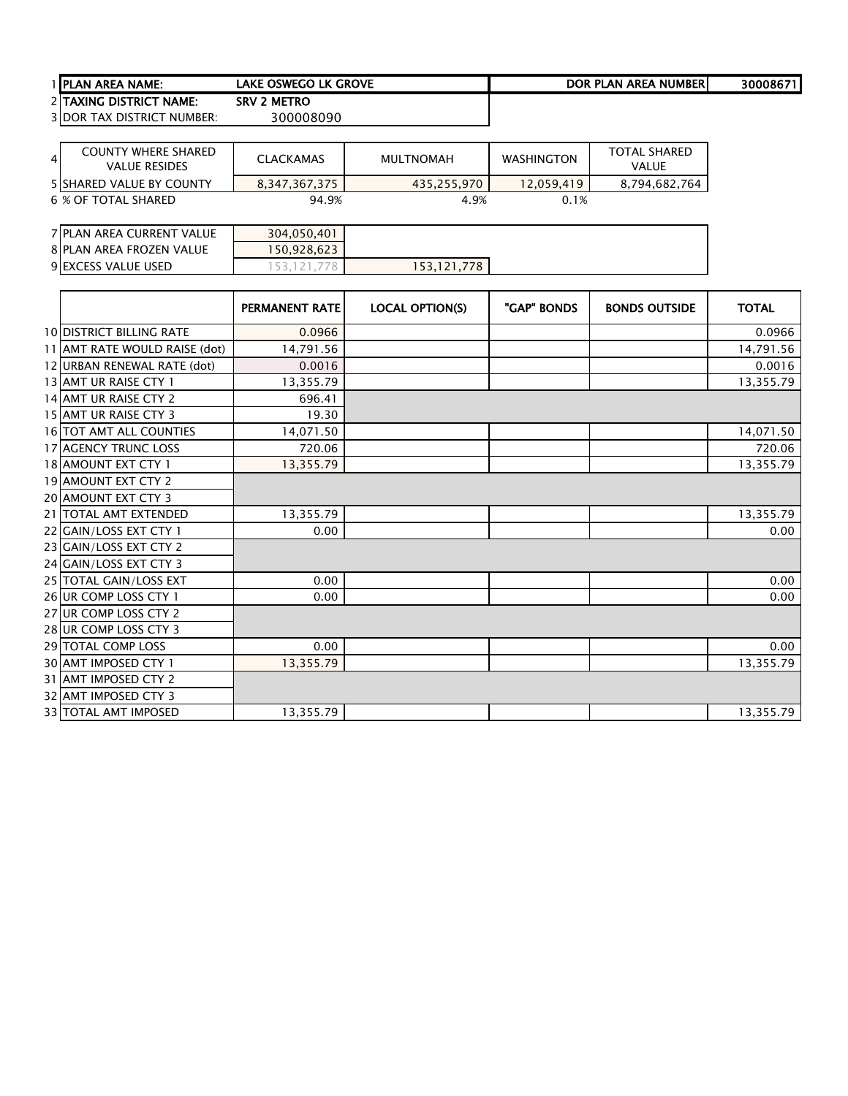| <b>I IPLAN AREA NAME:</b>         | Lake Oswego LK Grove | DOR PLAN AREA NUMBER | 30008671 |
|-----------------------------------|----------------------|----------------------|----------|
| 2 TAXING DISTRICT NAME:           | <b>SRV 2 METRO</b>   |                      |          |
| <b>3 DOR TAX DISTRICT NUMBER:</b> | 300008090            |                      |          |

| 4 | COUNTY WHERE SHARED<br><b>VALUE RESIDES</b> | <b>CLACKAMAS</b> | MULTNOMAH   | <b>WASHINGTON</b> | <b>TOTAL SHARED</b><br>VALUE |
|---|---------------------------------------------|------------------|-------------|-------------------|------------------------------|
|   | <b>5 ISHARED VALUE BY COUNTY</b>            | 8.347.367.375    | 435.255.970 | 12.059.419        | 8.794.682.764                |
|   | 6 % OF TOTAL SHARED                         | 94.9%            | 4.9%        | 0.1%              |                              |

| 7 PLAN AREA CURRENT VALUE | 304.050.401 |             |  |  |
|---------------------------|-------------|-------------|--|--|
| 8 PLAN AREA FROZEN VALUE  | 50.928.623  |             |  |  |
| 9 EXCESS VALUE USED       |             | 153,121,778 |  |  |

|                                 | PERMANENT RATE | <b>LOCAL OPTION(S)</b> | "GAP" BONDS | <b>BONDS OUTSIDE</b> | <b>TOTAL</b> |
|---------------------------------|----------------|------------------------|-------------|----------------------|--------------|
| <b>10 DISTRICT BILLING RATE</b> | 0.0966         |                        |             |                      | 0.0966       |
| 11 AMT RATE WOULD RAISE (dot)   | 14,791.56      |                        |             |                      | 14,791.56    |
| 12 URBAN RENEWAL RATE (dot)     | 0.0016         |                        |             |                      | 0.0016       |
| 13 AMT UR RAISE CTY 1           | 13,355.79      |                        |             |                      | 13,355.79    |
| 14 AMT UR RAISE CTY 2           | 696.41         |                        |             |                      |              |
| 15 AMT UR RAISE CTY 3           | 19.30          |                        |             |                      |              |
| <b>16 TOT AMT ALL COUNTIES</b>  | 14,071.50      |                        |             |                      | 14,071.50    |
| <b>17 AGENCY TRUNC LOSS</b>     | 720.06         |                        |             |                      | 720.06       |
| 18 AMOUNT EXT CTY 1             | 13,355.79      |                        |             |                      | 13,355.79    |
| 19 AMOUNT EXT CTY 2             |                |                        |             |                      |              |
| 20 AMOUNT EXT CTY 3             |                |                        |             |                      |              |
| 21 TOTAL AMT EXTENDED           | 13,355.79      |                        |             |                      | 13,355.79    |
| 22 GAIN/LOSS EXT CTY 1          | 0.00           |                        |             |                      | 0.00         |
| 23 GAIN/LOSS EXT CTY 2          |                |                        |             |                      |              |
| 24 GAIN/LOSS EXT CTY 3          |                |                        |             |                      |              |
| 25 TOTAL GAIN/LOSS EXT          | 0.00           |                        |             |                      | 0.00         |
| 26 UR COMP LOSS CTY 1           | 0.00           |                        |             |                      | 0.00         |
| 27 UR COMP LOSS CTY 2           |                |                        |             |                      |              |
| 28 UR COMP LOSS CTY 3           |                |                        |             |                      |              |
| 29 TOTAL COMP LOSS              | 0.00           |                        |             |                      | 0.00         |
| 30 AMT IMPOSED CTY 1            | 13,355.79      |                        |             |                      | 13,355.79    |
| 31 AMT IMPOSED CTY 2            |                |                        |             |                      |              |
| 32 AMT IMPOSED CTY 3            |                |                        |             |                      |              |
| <b>33 TOTAL AMT IMPOSED</b>     | 13,355.79      |                        |             |                      | 13,355.79    |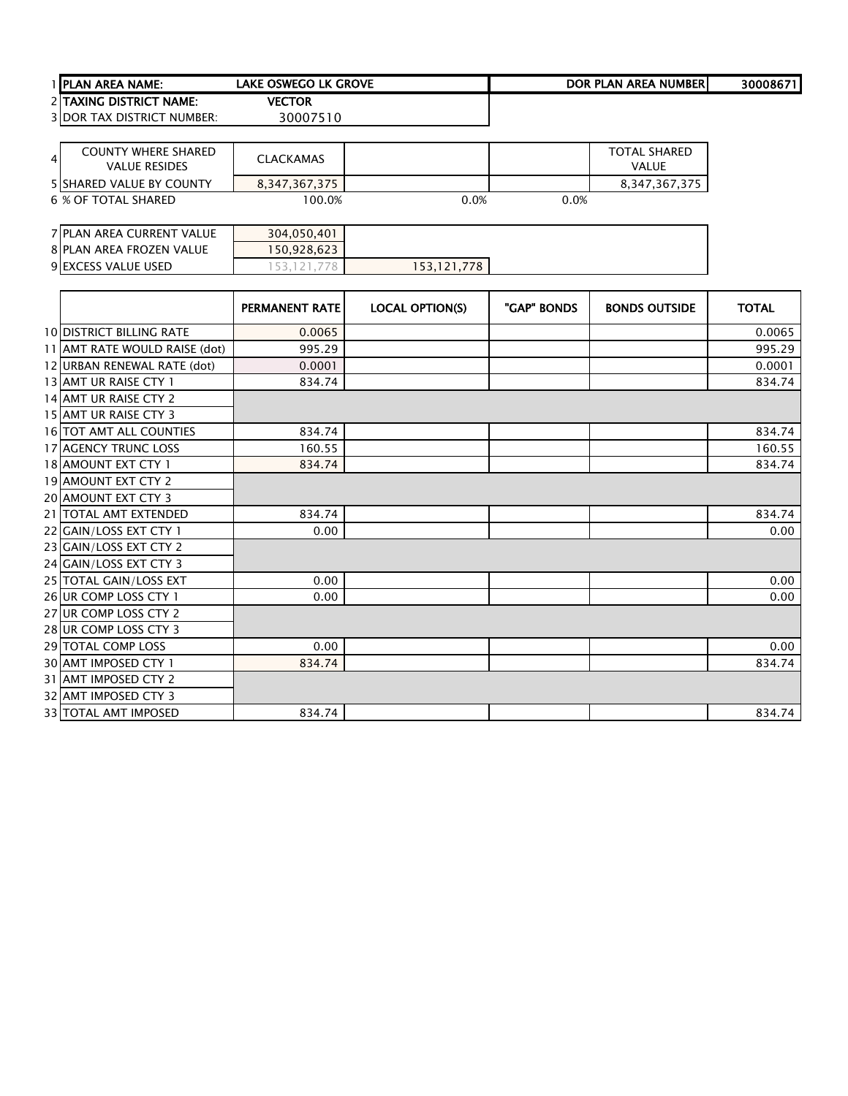| <b>TIPLAN AREA NAME:</b>          | lake oswego lk grove | DOR PLAN AREA NUMBERI | 30008671 |
|-----------------------------------|----------------------|-----------------------|----------|
| 2 TAXING DISTRICT NAME:           | <b>VECTOR</b>        |                       |          |
| <b>3 DOR TAX DISTRICT NUMBER:</b> | 30007510             |                       |          |

| 4 | <b>COUNTY WHERE SHARED</b><br><b>VALUE RESIDES</b> | <b>CLACKAMAS</b> |      |      | <b>TOTAL SHARED</b><br>VALUE |
|---|----------------------------------------------------|------------------|------|------|------------------------------|
|   | <b>5 ISHARED VALUE BY COUNTY</b>                   | 8.347.367.375    |      |      | 8.347.367.375                |
|   | 6 % OF TOTAL SHARED                                | 100.0%           | 0.0% | 0.0% |                              |

| 7 PLAN AREA CURRENT VALUE | 304,050,401 |             |  |
|---------------------------|-------------|-------------|--|
| 8 PLAN AREA FROZEN VALUE  | 150,928,623 |             |  |
| 9 EXCESS VALUE USED       |             | 153,121,778 |  |

|                                 | <b>PERMANENT RATE</b> | <b>LOCAL OPTION(S)</b> | "GAP" BONDS | <b>BONDS OUTSIDE</b> | <b>TOTAL</b> |
|---------------------------------|-----------------------|------------------------|-------------|----------------------|--------------|
| <b>10 DISTRICT BILLING RATE</b> | 0.0065                |                        |             |                      | 0.0065       |
| 11 AMT RATE WOULD RAISE (dot)   | 995.29                |                        |             |                      | 995.29       |
| 12 URBAN RENEWAL RATE (dot)     | 0.0001                |                        |             |                      | 0.0001       |
| 13 AMT UR RAISE CTY 1           | 834.74                |                        |             |                      | 834.74       |
| 14 AMT UR RAISE CTY 2           |                       |                        |             |                      |              |
| 15 AMT UR RAISE CTY 3           |                       |                        |             |                      |              |
| <b>16 TOT AMT ALL COUNTIES</b>  | 834.74                |                        |             |                      | 834.74       |
| <b>17 AGENCY TRUNC LOSS</b>     | 160.55                |                        |             |                      | 160.55       |
| 18 AMOUNT EXT CTY 1             | 834.74                |                        |             |                      | 834.74       |
| 19 AMOUNT EXT CTY 2             |                       |                        |             |                      |              |
| 20 AMOUNT EXT CTY 3             |                       |                        |             |                      |              |
| 21 TOTAL AMT EXTENDED           | 834.74                |                        |             |                      | 834.74       |
| 22 GAIN/LOSS EXT CTY 1          | 0.00                  |                        |             |                      | 0.00         |
| 23 GAIN/LOSS EXT CTY 2          |                       |                        |             |                      |              |
| 24 GAIN/LOSS EXT CTY 3          |                       |                        |             |                      |              |
| 25 TOTAL GAIN/LOSS EXT          | 0.00                  |                        |             |                      | 0.00         |
| 26 UR COMP LOSS CTY 1           | 0.00                  |                        |             |                      | 0.00         |
| 27 UR COMP LOSS CTY 2           |                       |                        |             |                      |              |
| 28 UR COMP LOSS CTY 3           |                       |                        |             |                      |              |
| 29 TOTAL COMP LOSS              | 0.00                  |                        |             |                      | 0.00         |
| 30 AMT IMPOSED CTY 1            | 834.74                |                        |             |                      | 834.74       |
| 31 AMT IMPOSED CTY 2            |                       |                        |             |                      |              |
| 32 AMT IMPOSED CTY 3            |                       |                        |             |                      |              |
| <b>33 TOTAL AMT IMPOSED</b>     | 834.74                |                        |             |                      | 834.74       |